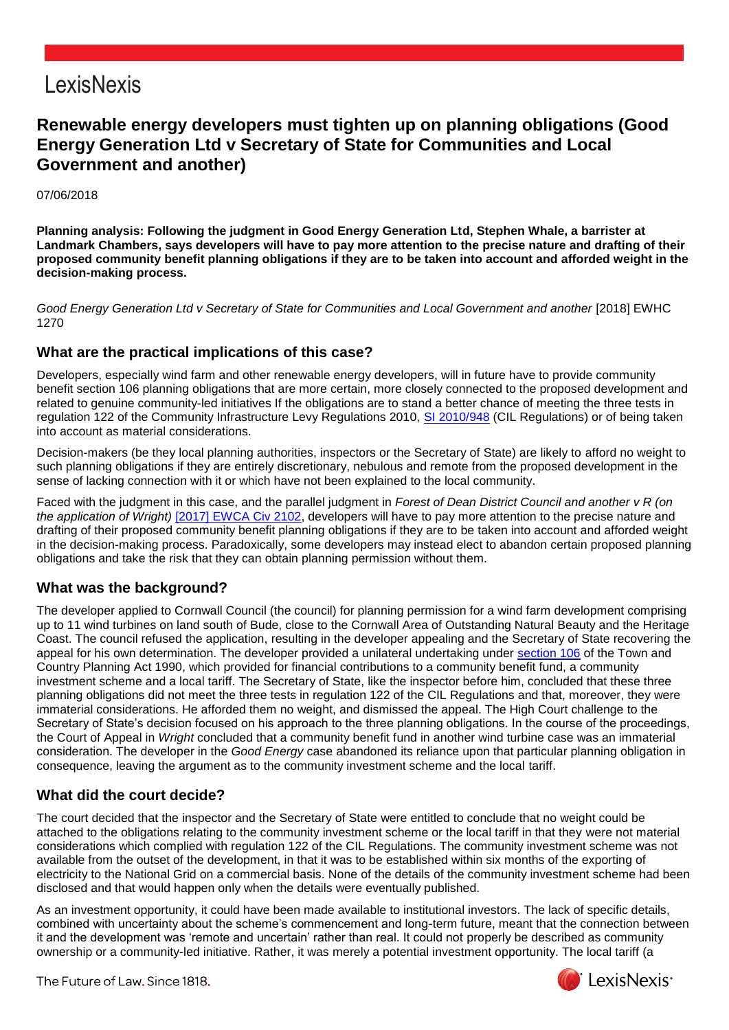## **LexisNexis**

### **Renewable energy developers must tighten up on planning obligations (Good Energy Generation Ltd v Secretary of State for Communities and Local Government and another)**

#### 07/06/2018

**Planning analysis: Following the judgment in Good Energy Generation Ltd, Stephen Whale, a barrister at Landmark Chambers, says developers will have to pay more attention to the precise nature and drafting of their proposed community benefit planning obligations if they are to be taken into account and afforded weight in the decision-making process.**

*Good Energy Generation Ltd v Secretary of State for Communities and Local Government and another* [2018] EWHC 1270

#### **What are the practical implications of this case?**

Developers, especially wind farm and other renewable energy developers, will in future have to provide community benefit section 106 planning obligations that are more certain, more closely connected to the proposed development and related to genuine community-led initiatives If the obligations are to stand a better chance of meeting the three tests in regulation 122 of the Community Infrastructure Levy Regulations 2010, [SI 2010/948](https://www.lexisnexis.com/uk/lexispsl/energy/citationlinkHandler.faces?bct=A&service=citation&risb=&UK_SI&$num!%252010_948s_Title%25) (CIL Regulations) or of being taken into account as material considerations.

Decision-makers (be they local planning authorities, inspectors or the Secretary of State) are likely to afford no weight to such planning obligations if they are entirely discretionary, nebulous and remote from the proposed development in the sense of lacking connection with it or which have not been explained to the local community.

Faced with the judgment in this case, and the parallel judgment in *Forest of Dean District Council and another v R (on the application of Wright)* [\[2017\] EWCA Civ 2102,](https://www.lexisnexis.com/uk/lexispsl/energy/citationlinkHandler.faces?bct=A&service=citation&risb=&EWCACIV&$sel1!%252017%25$year!%252017%25$page!%252102%25) developers will have to pay more attention to the precise nature and drafting of their proposed community benefit planning obligations if they are to be taken into account and afforded weight in the decision-making process. Paradoxically, some developers may instead elect to abandon certain proposed planning obligations and take the risk that they can obtain planning permission without them.

### **What was the background?**

The developer applied to Cornwall Council (the council) for planning permission for a wind farm development comprising up to 11 wind turbines on land south of Bude, close to the Cornwall Area of Outstanding Natural Beauty and the Heritage Coast. The council refused the application, resulting in the developer appealing and the Secretary of State recovering the appeal for his own determination. The developer provided a unilateral undertaking under [section 106](https://www.lexisnexis.com/uk/lexispsl/energy/citationlinkHandler.faces?bct=A&service=citation&risb=&UK_ACTS&$num!%251990_8a%25$section!%25106%25$sect!%25106%25) of the Town and Country Planning Act 1990, which provided for financial contributions to a community benefit fund, a community investment scheme and a local tariff. The Secretary of State, like the inspector before him, concluded that these three planning obligations did not meet the three tests in regulation 122 of the CIL Regulations and that, moreover, they were immaterial considerations. He afforded them no weight, and dismissed the appeal. The High Court challenge to the Secretary of State's decision focused on his approach to the three planning obligations. In the course of the proceedings, the Court of Appeal in *Wright* concluded that a community benefit fund in another wind turbine case was an immaterial consideration. The developer in the *Good Energy* case abandoned its reliance upon that particular planning obligation in consequence, leaving the argument as to the community investment scheme and the local tariff.

#### **What did the court decide?**

The court decided that the inspector and the Secretary of State were entitled to conclude that no weight could be attached to the obligations relating to the community investment scheme or the local tariff in that they were not material considerations which complied with regulation 122 of the CIL Regulations. The community investment scheme was not available from the outset of the development, in that it was to be established within six months of the exporting of electricity to the National Grid on a commercial basis. None of the details of the community investment scheme had been disclosed and that would happen only when the details were eventually published.

As an investment opportunity, it could have been made available to institutional investors. The lack of specific details, combined with uncertainty about the scheme's commencement and long-term future, meant that the connection between it and the development was 'remote and uncertain' rather than real. It could not properly be described as community ownership or a community-led initiative. Rather, it was merely a potential investment opportunity. The local tariff (a